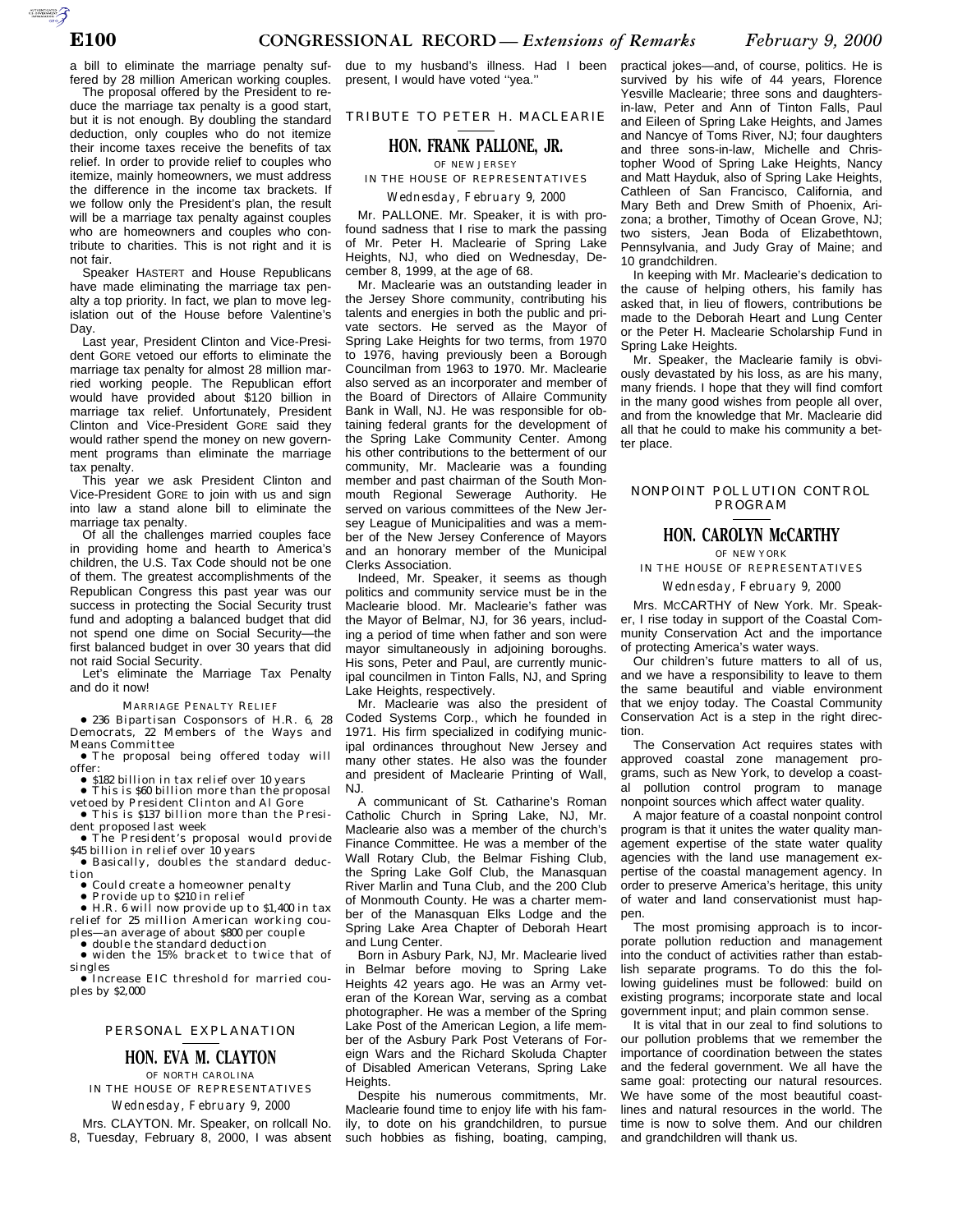a bill to eliminate the marriage penalty suffered by 28 million American working couples.

The proposal offered by the President to reduce the marriage tax penalty is a good start, but it is not enough. By doubling the standard deduction, only couples who do not itemize their income taxes receive the benefits of tax relief. In order to provide relief to couples who itemize, mainly homeowners, we must address the difference in the income tax brackets. If we follow only the President's plan, the result will be a marriage tax penalty against couples who are homeowners and couples who contribute to charities. This is not right and it is not fair.

Speaker HASTERT and House Republicans have made eliminating the marriage tax penalty a top priority. In fact, we plan to move legislation out of the House before Valentine's Day.

Last year, President Clinton and Vice-President GORE vetoed our efforts to eliminate the marriage tax penalty for almost 28 million married working people. The Republican effort would have provided about \$120 billion in marriage tax relief. Unfortunately, President Clinton and Vice-President GORE said they would rather spend the money on new government programs than eliminate the marriage tax penalty.

This year we ask President Clinton and Vice-President GORE to join with us and sign into law a stand alone bill to eliminate the marriage tax penalty.

Of all the challenges married couples face in providing home and hearth to America's children, the U.S. Tax Code should not be one of them. The greatest accomplishments of the Republican Congress this past year was our success in protecting the Social Security trust fund and adopting a balanced budget that did not spend one dime on Social Security—the first balanced budget in over 30 years that did not raid Social Security.

Let's eliminate the Marriage Tax Penalty and do it now!

#### MARRIAGE PENALTY RELIEF

● 236 Bipartisan Cosponsors of H.R. 6, 28 Democrats, 22 Members of the Ways and Means Committee

∑ The proposal being offered today will offer:

 $\bullet$  \$182 billion in tax relief over 10 years ● This is \$60 billion more than the proposal

vetoed by President Clinton and Al Gore ● This is \$137 billion more than the Presi-

dent proposed last week ● The President's proposal would provide

\$45 billion in relief over 10 years ∑ Basically, doubles the standard deduction

■ Could create a homeowner penalty

∑ Provide up to \$210 in relief ∑ H.R. 6 will now provide up to \$1,400 in tax relief for 25 million American working couples—an average of about \$800 per couple<br>● double the standard deduction

double the standard deduction

∑ widen the 15% bracket to twice that of singles

∑ Increase EIC threshold for married couples by \$2,000

#### PERSONAL EXPLANATION

# **HON. EVA M. CLAYTON**

OF NORTH CAROLINA IN THE HOUSE OF REPRESENTATIVES

*Wednesday, February 9, 2000*

Mrs. CLAYTON. Mr. Speaker, on rollcall No. 8, Tuesday, February 8, 2000, I was absent

due to my husband's illness. Had I been present, I would have voted ''yea.''

TRIBUTE TO PETER H. MACLEARIE

#### **HON. FRANK PALLONE, JR.**

OF NEW JERSEY

IN THE HOUSE OF REPRESENTATIVES

*Wednesday, February 9, 2000*

Mr. PALLONE. Mr. Speaker, it is with profound sadness that I rise to mark the passing of Mr. Peter H. Maclearie of Spring Lake Heights, NJ, who died on Wednesday, December 8, 1999, at the age of 68.

Mr. Maclearie was an outstanding leader in the Jersey Shore community, contributing his talents and energies in both the public and private sectors. He served as the Mayor of Spring Lake Heights for two terms, from 1970 to 1976, having previously been a Borough Councilman from 1963 to 1970. Mr. Maclearie also served as an incorporater and member of the Board of Directors of Allaire Community Bank in Wall, NJ. He was responsible for obtaining federal grants for the development of the Spring Lake Community Center. Among his other contributions to the betterment of our community, Mr. Maclearie was a founding member and past chairman of the South Monmouth Regional Sewerage Authority. He served on various committees of the New Jersey League of Municipalities and was a member of the New Jersey Conference of Mayors and an honorary member of the Municipal Clerks Association.

Indeed, Mr. Speaker, it seems as though politics and community service must be in the Maclearie blood. Mr. Maclearie's father was the Mayor of Belmar, NJ, for 36 years, including a period of time when father and son were mayor simultaneously in adjoining boroughs. His sons, Peter and Paul, are currently municipal councilmen in Tinton Falls, NJ, and Spring Lake Heights, respectively.

Mr. Maclearie was also the president of Coded Systems Corp., which he founded in 1971. His firm specialized in codifying municipal ordinances throughout New Jersey and many other states. He also was the founder and president of Maclearie Printing of Wall, NJ.

A communicant of St. Catharine's Roman Catholic Church in Spring Lake, NJ, Mr. Maclearie also was a member of the church's Finance Committee. He was a member of the Wall Rotary Club, the Belmar Fishing Club, the Spring Lake Golf Club, the Manasquan River Marlin and Tuna Club, and the 200 Club of Monmouth County. He was a charter member of the Manasquan Elks Lodge and the Spring Lake Area Chapter of Deborah Heart and Lung Center.

Born in Asbury Park, NJ, Mr. Maclearie lived in Belmar before moving to Spring Lake Heights 42 years ago. He was an Army veteran of the Korean War, serving as a combat photographer. He was a member of the Spring Lake Post of the American Legion, a life member of the Asbury Park Post Veterans of Foreign Wars and the Richard Skoluda Chapter of Disabled American Veterans, Spring Lake Heights.

Despite his numerous commitments, Mr. Maclearie found time to enjoy life with his family, to dote on his grandchildren, to pursue such hobbies as fishing, boating, camping, practical jokes—and, of course, politics. He is survived by his wife of 44 years, Florence Yesville Maclearie; three sons and daughtersin-law, Peter and Ann of Tinton Falls, Paul and Eileen of Spring Lake Heights, and James and Nancye of Toms River, NJ; four daughters and three sons-in-law, Michelle and Christopher Wood of Spring Lake Heights, Nancy and Matt Hayduk, also of Spring Lake Heights, Cathleen of San Francisco, California, and Mary Beth and Drew Smith of Phoenix, Arizona; a brother, Timothy of Ocean Grove, NJ; two sisters, Jean Boda of Elizabethtown, Pennsylvania, and Judy Gray of Maine; and 10 grandchildren.

In keeping with Mr. Maclearie's dedication to the cause of helping others, his family has asked that, in lieu of flowers, contributions be made to the Deborah Heart and Lung Center or the Peter H. Maclearie Scholarship Fund in Spring Lake Heights.

Mr. Speaker, the Maclearie family is obviously devastated by his loss, as are his many, many friends. I hope that they will find comfort in the many good wishes from people all over, and from the knowledge that Mr. Maclearie did all that he could to make his community a better place.

#### NONPOINT POLLUTION CONTROL PROGRAM

### **HON. CAROLYN McCARTHY**

OF NEW YORK

IN THE HOUSE OF REPRESENTATIVES

*Wednesday, February 9, 2000*

Mrs. MCCARTHY of New York. Mr. Speaker, I rise today in support of the Coastal Community Conservation Act and the importance of protecting America's water ways.

Our children's future matters to all of us, and we have a responsibility to leave to them the same beautiful and viable environment that we enjoy today. The Coastal Community Conservation Act is a step in the right direction.

The Conservation Act requires states with approved coastal zone management programs, such as New York, to develop a coastal pollution control program to manage nonpoint sources which affect water quality.

A major feature of a coastal nonpoint control program is that it unites the water quality management expertise of the state water quality agencies with the land use management expertise of the coastal management agency. In order to preserve America's heritage, this unity of water and land conservationist must happen.

The most promising approach is to incorporate pollution reduction and management into the conduct of activities rather than establish separate programs. To do this the following guidelines must be followed: build on existing programs; incorporate state and local government input; and plain common sense.

It is vital that in our zeal to find solutions to our pollution problems that we remember the importance of coordination between the states and the federal government. We all have the same goal: protecting our natural resources. We have some of the most beautiful coastlines and natural resources in the world. The time is now to solve them. And our children and grandchildren will thank us.